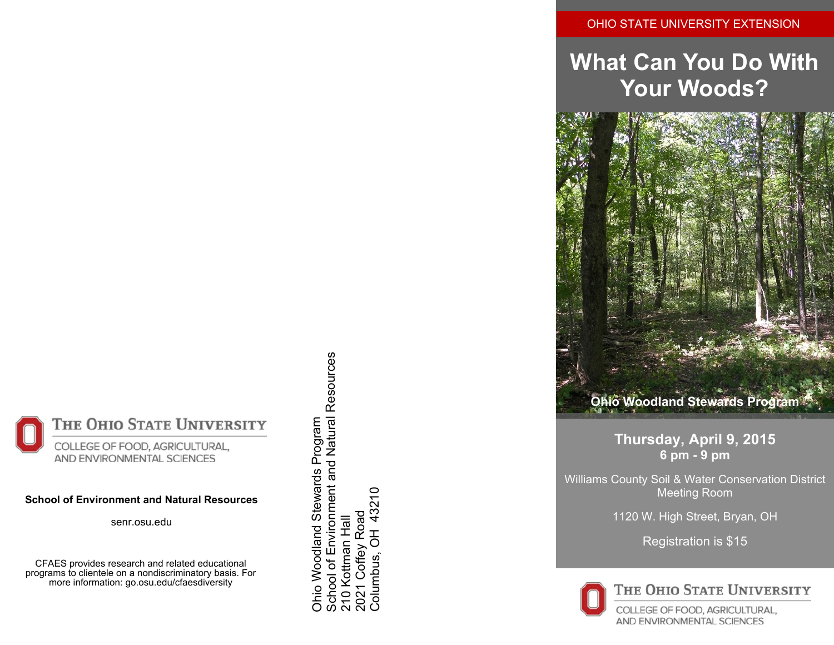## OHIO STATE UNIVERSITY EXTENSION

# **What Can You Do With Your Woods?**



**Thursday, April 9, 2015 6 pm - 9 pm**

Williams County Soil & Water Conservation District Meeting Room

1120 W. High Street, Bryan, OH

Registration is \$15



THE OHIO STATE UNIVERSITY

COLLEGE OF FOOD, AGRICULTURAL, AND ENVIRONMENTAL SCIENCES

THE OHIO STATE UNIVERSITY COLLEGE OF FOOD, AGRICULTURAL, AND ENVIRONMENTAL SCIENCES

#### **School of Environment and Natural Resources**

senr.osu.edu

CFAES provides research and related educational programs to clientele on a nondiscriminatory basis. For more information: go.osu.edu/cfaesdiversity

School of Environment and Natural Resources School of Environment and Natural Resources Ohio Woodland Stewards Program Ohio Woodland Stewards Program 43210 Columbus, OH 43210Coffey Road 2021 Coffey Road 210 Kottman Hall **Cottman Hal**  $\overline{5}$ Columbus, Š